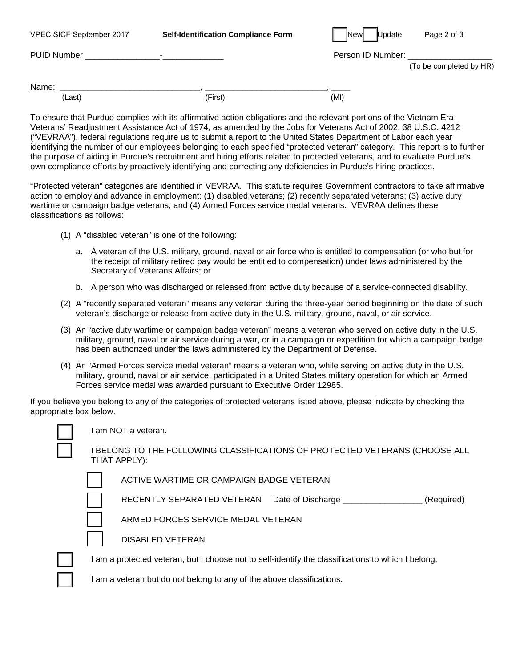| VPEC SICF September 2017 | <b>Self-Identification Compliance Form</b> | New<br>Update     | Page 2 of 3             |
|--------------------------|--------------------------------------------|-------------------|-------------------------|
| <b>PUID Number</b>       |                                            | Person ID Number: |                         |
|                          |                                            |                   | (To be completed by HR) |
| Name:                    |                                            |                   |                         |
| (Last)                   | (First)                                    | (MI)              |                         |
|                          |                                            |                   |                         |

To ensure that Purdue complies with its affirmative action obligations and the relevant portions of the Vietnam Era Veterans' Readjustment Assistance Act of 1974, as amended by the Jobs for Veterans Act of 2002, 38 U.S.C. 4212 ("VEVRAA"), federal regulations require us to submit a report to the United States Department of Labor each year identifying the number of our employees belonging to each specified "protected veteran" category. This report is to further the purpose of aiding in Purdue's recruitment and hiring efforts related to protected veterans, and to evaluate Purdue's own compliance efforts by proactively identifying and correcting any deficiencies in Purdue's hiring practices.

"Protected veteran" categories are identified in VEVRAA. This statute requires Government contractors to take affirmative action to employ and advance in employment: (1) disabled veterans; (2) recently separated veterans; (3) active duty wartime or campaign badge veterans; and (4) Armed Forces service medal veterans. VEVRAA defines these classifications as follows:

- (1) A "disabled veteran" is one of the following:
	- a. A veteran of the U.S. military, ground, naval or air force who is entitled to compensation (or who but for the receipt of military retired pay would be entitled to compensation) under laws administered by the Secretary of Veterans Affairs; or
	- b. A person who was discharged or released from active duty because of a service-connected disability.
- (2) A "recently separated veteran" means any veteran during the three-year period beginning on the date of such veteran's discharge or release from active duty in the U.S. military, ground, naval, or air service.
- (3) An "active duty wartime or campaign badge veteran" means a veteran who served on active duty in the U.S. military, ground, naval or air service during a war, or in a campaign or expedition for which a campaign badge has been authorized under the laws administered by the Department of Defense.
- (4) An "Armed Forces service medal veteran" means a veteran who, while serving on active duty in the U.S. military, ground, naval or air service, participated in a United States military operation for which an Armed Forces service medal was awarded pursuant to Executive Order 12985.

If you believe you belong to any of the categories of protected veterans listed above, please indicate by checking the appropriate box below.

I am NOT a veteran.

I BELONG TO THE FOLLOWING CLASSIFICATIONS OF PROTECTED VETERANS (CHOOSE ALL THAT APPLY):

| ACTIVE WARTIME OR CAMPAIGN BADGE VETERAN |  |
|------------------------------------------|--|
|------------------------------------------|--|

RECENTLY SEPARATED VETERAN Date of Discharge \_\_\_\_\_\_\_\_\_\_\_\_\_\_\_\_\_\_ (Required)

ARMED FORCES SERVICE MEDAL VETERAN



I am a protected veteran, but I choose not to self-identify the classifications to which I belong.

I am a veteran but do not belong to any of the above classifications.